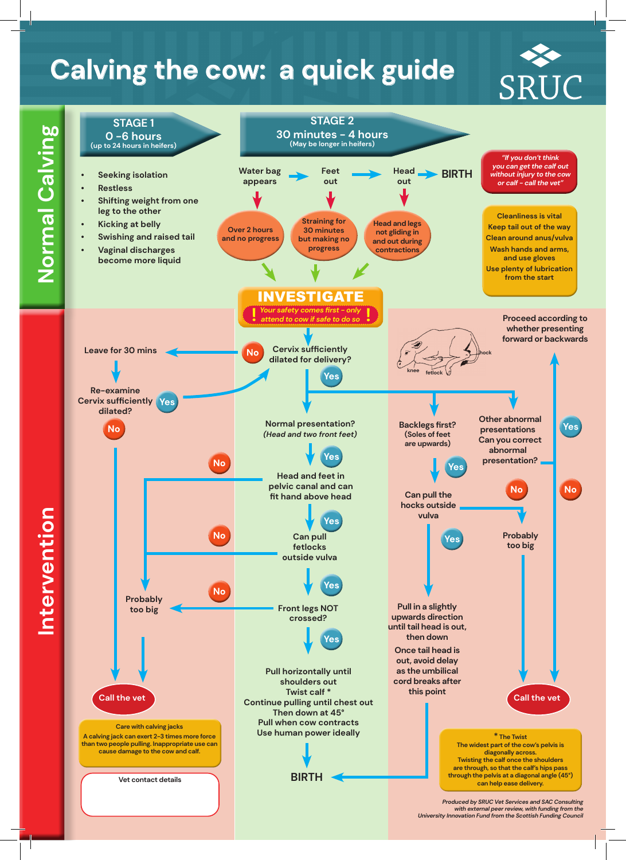## **Calving the cow: a quick guide**



Intervention **Intervention**

 $\mathbf{I}$